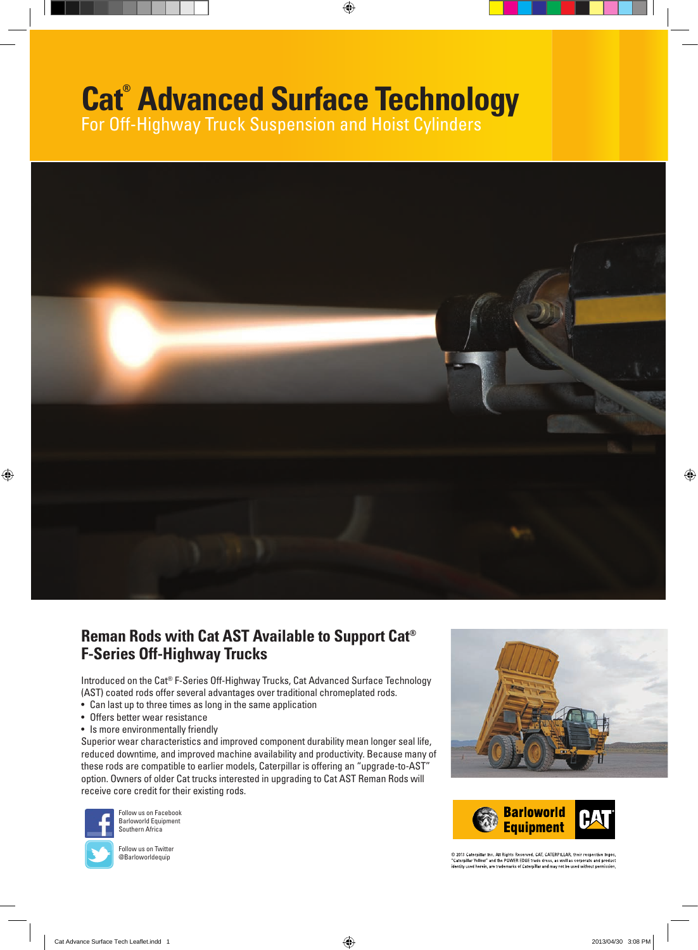# **Cat® Advanced Surface Technology**

⊕

For Off-Highway Truck Suspension and Hoist Cylinders



### **Reman Rods with Cat AST Available to Support Cat® F-Series Off-Highway Trucks**

Introduced on the Cat® F-Series Off-Highway Trucks, Cat Advanced Surface Technology (AST) coated rods offer several advantages over traditional chromeplated rods.

- Can last up to three times as long in the same application
- Offers better wear resistance
- Is more environmentally friendly

Superior wear characteristics and improved component durability mean longer seal life, reduced downtime, and improved machine availability and productivity. Because many of these rods are compatible to earlier models, Caterpillar is offering an "upgrade-to-AST" option. Owners of older Cat trucks interested in upgrading to Cat AST Reman Rods will receive core credit for their existing rods.



Follow us on Facebook Barloworld Equipment Southern Africa



Follow us on Twitter @Barloworldequip





© 2013 Caterpillar Inc. All Rights Reserved. CAT, CATERPILLAR, their respective logos,<br>"Caterpillar Yellow" and the POWER EDGE trade dress, as well as corporate and product<br>identity used herein, are trademarks of Caterpill